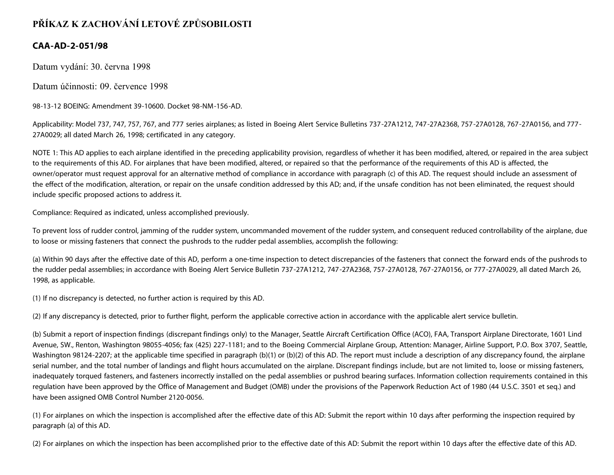## **PŘÍKAZ K ZACHOVÁNÍ LETOVÉ ZPŮSOBILOSTI**

## **CAA-AD-2-051/98**

Datum vydání: 30. června 1998

Datum účinnosti: 09. července 1998

98-13-12 BOEING: Amendment 39-10600. Docket 98-NM-156-AD.

Applicability: Model 737, 747, 757, 767, and 777 series airplanes; as listed in Boeing Alert Service Bulletins 737-27A1212, 747-27A2368, 757-27A0128, 767-27A0156, and 777- 27A0029; all dated March 26, 1998; certificated in any category.

NOTE 1: This AD applies to each airplane identified in the preceding applicability provision, regardless of whether it has been modified, altered, or repaired in the area subject to the requirements of this AD. For airplanes that have been modified, altered, or repaired so that the performance of the requirements of this AD is affected, the owner/operator must request approval for an alternative method of compliance in accordance with paragraph (c) of this AD. The request should include an assessment of the effect of the modification, alteration, or repair on the unsafe condition addressed by this AD; and, if the unsafe condition has not been eliminated, the request should include specific proposed actions to address it.

Compliance: Required as indicated, unless accomplished previously.

To prevent loss of rudder control, jamming of the rudder system, uncommanded movement of the rudder system, and consequent reduced controllability of the airplane, due to loose or missing fasteners that connect the pushrods to the rudder pedal assemblies, accomplish the following:

(a) Within 90 days after the effective date of this AD, perform a one-time inspection to detect discrepancies of the fasteners that connect the forward ends of the pushrods to the rudder pedal assemblies; in accordance with Boeing Alert Service Bulletin 737-27A1212, 747-27A2368, 757-27A0128, 767-27A0156, or 777-27A0029, all dated March 26, 1998, as applicable.

(1) If no discrepancy is detected, no further action is required by this AD.

(2) If any discrepancy is detected, prior to further flight, perform the applicable corrective action in accordance with the applicable alert service bulletin.

(b) Submit a report of inspection findings (discrepant findings only) to the Manager, Seattle Aircraft Certification Office (ACO), FAA, Transport Airplane Directorate, 1601 Lind Avenue, SW., Renton, Washington 98055-4056; fax (425) 227-1181; and to the Boeing Commercial Airplane Group, Attention: Manager, Airline Support, P.O. Box 3707, Seattle, Washington 98124-2207; at the applicable time specified in paragraph (b)(1) or (b)(2) of this AD. The report must include a description of any discrepancy found, the airplane serial number, and the total number of landings and flight hours accumulated on the airplane. Discrepant findings include, but are not limited to, loose or missing fasteners, inadequately torqued fasteners, and fasteners incorrectly installed on the pedal assemblies or pushrod bearing surfaces. Information collection requirements contained in this regulation have been approved by the Office of Management and Budget (OMB) under the provisions of the Paperwork Reduction Act of 1980 (44 U.S.C. 3501 et seq.) and have been assigned OMB Control Number 2120-0056.

(1) For airplanes on which the inspection is accomplished after the effective date of this AD: Submit the report within 10 days after performing the inspection required by paragraph (a) of this AD.

(2) For airplanes on which the inspection has been accomplished prior to the effective date of this AD: Submit the report within 10 days after the effective date of this AD.